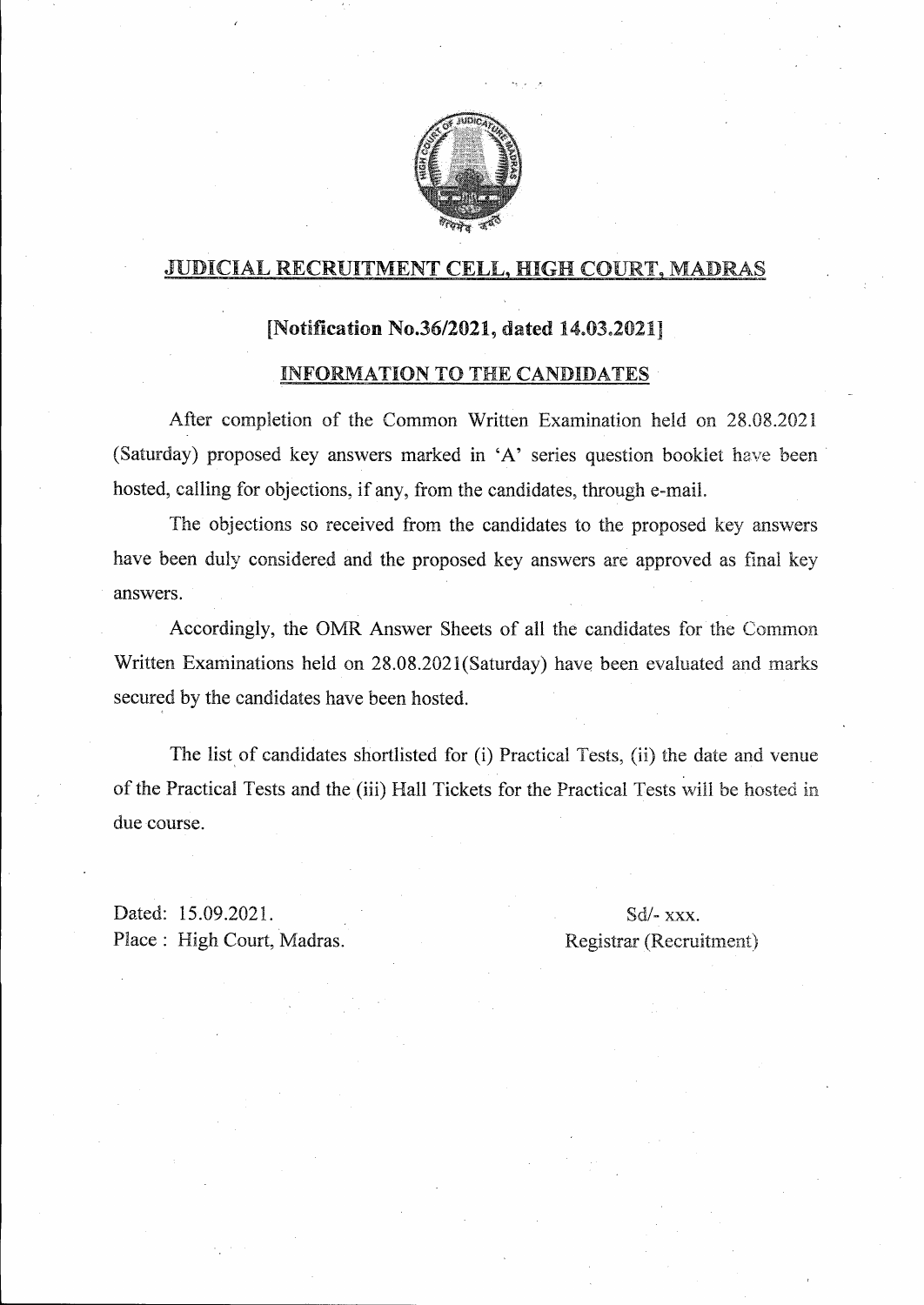

## JUDICIAL RECRUITMENT CELL, HIGH COURT, MADRAS

#### [Notification No.36/2021, dated  $14.03.2021$ ]

#### INFORMATION TO THE CANDIDATES

After completion of the Common Written Examination held on 28.08.2021 (Saturday) proposed key answers marked in 'A' series question booklet have been. hosted, calling for objections, if any, from the candidates, through e-mail.

The objections so received from the candidates to the proposed key answers have been duly considered and the proposed key answers are approved as final key answers.

Accordingly, the OMR Answer Sheets of all the candidates for the Common Written Examinations held on 28.08.2021(Saturday) have been evaluated and marks secured by the candidates have been hosted.

The list of candidates shortlisted for (i) Practical Tests, (ii) the date and venue of the Practical Tests and the (iii) Hall Tickets for the Practical Tests will be hosted in due course.

Dated: 15.09.202l. Place: High Court, Madras.

# Sd/- xxx. Registrar (Recruitment)